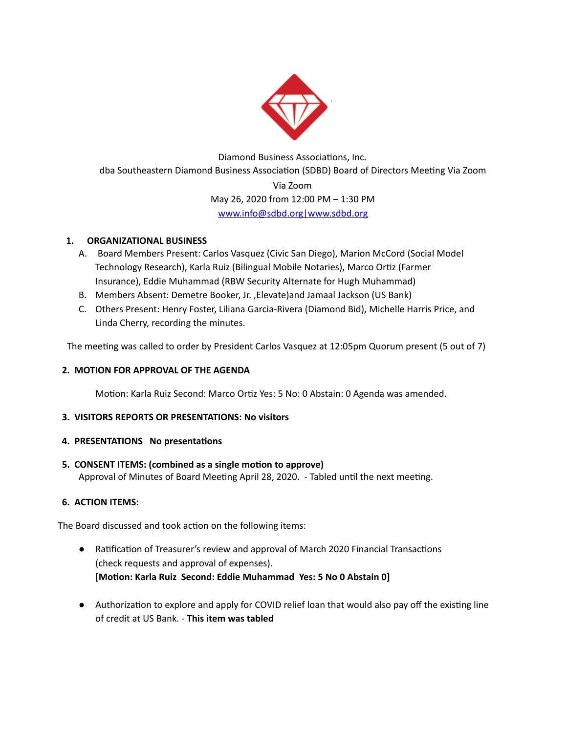

Diamond Business Associations, Inc. dba Southeastern Diamond Business Association (SDBD) Board of Directors Meeting Via Zoom Via Zoom May 26, 2020 from 12:00 PM – 1:30 PM [www.info@sdbd.org](mailto:www.info@sdbd.org)[|www.sdbd.org](http://www.sdbd.org/)

# **1. ORGANIZATIONAL BUSINESS**

- A. Board Members Present: Carlos Vasquez (Civic San Diego), Marion McCord (Social Model Technology Research), Karla Ruiz (Bilingual Mobile Notaries), Marco Ortiz (Farmer Insurance), Eddie Muhammad (RBW Security Alternate for Hugh Muhammad)
- B. Members Absent: Demetre Booker, Jr. ,Elevate)and Jamaal Jackson (US Bank)
- C. Others Present: Henry Foster, Liliana Garcia-Rivera (Diamond Bid), Michelle Harris Price, and Linda Cherry, recording the minutes.

The meeting was called to order by President Carlos Vasquez at 12:05pm Quorum present (5 out of 7)

### **2. MOTION FOR APPROVAL OF THE AGENDA**

Motion: Karla Ruiz Second: Marco Ortiz Yes: 5 No: 0 Abstain: 0 Agenda was amended.

### **3. VISITORS REPORTS OR PRESENTATIONS: No visitors**

### **4. PRESENTATIONS No presentations**

**5. CONSENT ITEMS: (combined as a single moon to approve)** Approval of Minutes of Board Meeting April 28, 2020. - Tabled until the next meeting.

# **6. ACTION ITEMS:**

The Board discussed and took action on the following items:

- Ratification of Treasurer's review and approval of March 2020 Financial Transactions (check requests and approval of expenses). **[Moon: Karla Ruiz Second: Eddie Muhammad Yes: 5 No 0 Abstain 0]**
- Authorization to explore and apply for COVID relief loan that would also pay off the existing line of credit at US Bank. - **This item was tabled**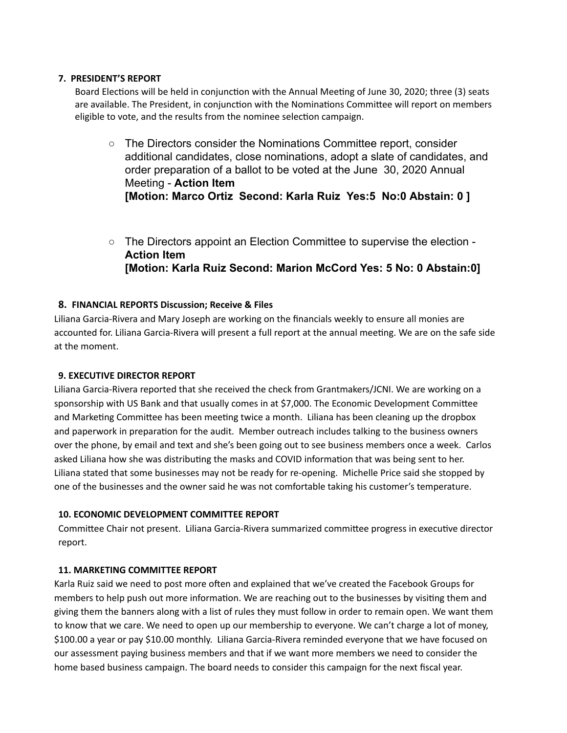### **7. PRESIDENT'S REPORT**

Board Elections will be held in conjunction with the Annual Meeting of June 30, 2020; three (3) seats are available. The President, in conjunction with the Nominations Committee will report on members eligible to vote, and the results from the nominee selection campaign.

- The Directors consider the Nominations Committee report, consider additional candidates, close nominations, adopt a slate of candidates, and order preparation of a ballot to be voted at the June 30, 2020 Annual Meeting - **Action Item [Motion: Marco Ortiz Second: Karla Ruiz Yes:5 No:0 Abstain: 0 ]**
- The Directors appoint an Election Committee to supervise the election -**Action Item [Motion: Karla Ruiz Second: Marion McCord Yes: 5 No: 0 Abstain:0]**

### **8. FINANCIAL REPORTS Discussion; Receive & Files**

Liliana Garcia-Rivera and Mary Joseph are working on the financials weekly to ensure all monies are accounted for. Liliana Garcia-Rivera will present a full report at the annual meeting. We are on the safe side at the moment.

### **9. EXECUTIVE DIRECTOR REPORT**

Liliana Garcia-Rivera reported that she received the check from Grantmakers/JCNI. We are working on a sponsorship with US Bank and that usually comes in at \$7,000. The Economic Development Committee and Marketing Committee has been meeting twice a month. Liliana has been cleaning up the dropbox and paperwork in preparation for the audit. Member outreach includes talking to the business owners over the phone, by email and text and she's been going out to see business members once a week. Carlos asked Liliana how she was distributing the masks and COVID information that was being sent to her. Liliana stated that some businesses may not be ready for re-opening. Michelle Price said she stopped by one of the businesses and the owner said he was not comfortable taking his customer's temperature.

### **10. ECONOMIC DEVELOPMENT COMMITTEE REPORT**

Committee Chair not present. Liliana Garcia-Rivera summarized committee progress in executive director report.

### **11. MARKETING COMMITTEE REPORT**

Karla Ruiz said we need to post more often and explained that we've created the Facebook Groups for members to help push out more information. We are reaching out to the businesses by visiting them and giving them the banners along with a list of rules they must follow in order to remain open. We want them to know that we care. We need to open up our membership to everyone. We can't charge a lot of money, \$100.00 a year or pay \$10.00 monthly. Liliana Garcia-Rivera reminded everyone that we have focused on our assessment paying business members and that if we want more members we need to consider the home based business campaign. The board needs to consider this campaign for the next fiscal year.